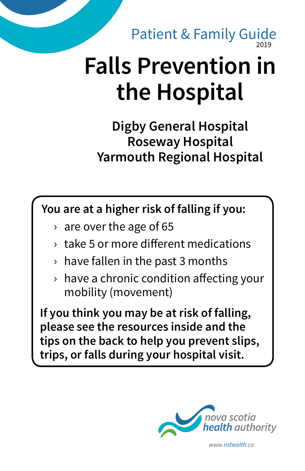2019 Patient & Family Guide

# **Falls Prevention in the Hospital**

**Digby General Hospital Roseway Hospital Yarmouth Regional Hospital**

**You are at a higher risk of falling if you:**

- $\rightarrow$  are over the age of 65
- › take 5 or more different medications
- $\rightarrow$  have fallen in the past 3 months
- $\rightarrow$  have a chronic condition affecting your mobility (movement)

**If you think you may be at risk of falling, please see the resources inside and the tips on the back to help you prevent slips, trips, or falls during your hospital visit.**



*www.nshealth.ca*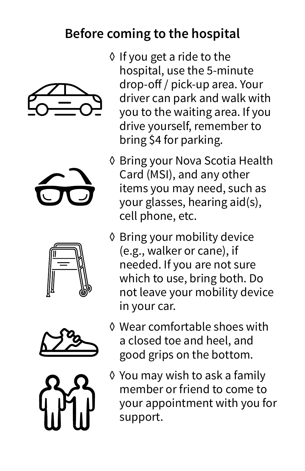## **Before coming to the hospital**











- ◊ If you get a ride to the hospital, use the 5-minute drop-off / pick-up area. Your driver can park and walk with you to the waiting area. If you drive yourself, remember to bring \$4 for parking.
- ◊ Bring your Nova Scotia Health Card (MSI), and any other items you may need, such as your glasses, hearing aid(s), cell phone, etc.
- ◊ Bring your mobility device (e.g., walker or cane), if needed. If you are not sure which to use, bring both. Do not leave your mobility device in your car.
- ◊ Wear comfortable shoes with a closed toe and heel, and good grips on the bottom.
- ◊ You may wish to ask a family member or friend to come to your appointment with you for support.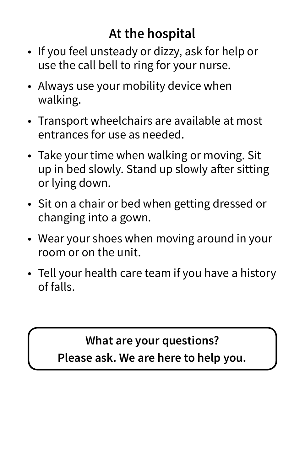# **At the hospital**

- If you feel unsteady or dizzy, ask for help or use the call bell to ring for your nurse.
- Always use your mobility device when walking.
- Transport wheelchairs are available at most entrances for use as needed.
- Take your time when walking or moving. Sit up in bed slowly. Stand up slowly after sitting or lying down.
- Sit on a chair or bed when getting dressed or changing into a gown.
- Wear your shoes when moving around in your room or on the unit.
- Tell your health care team if you have a history of falls.

#### **What are your questions?**

**Please ask. We are here to help you.**